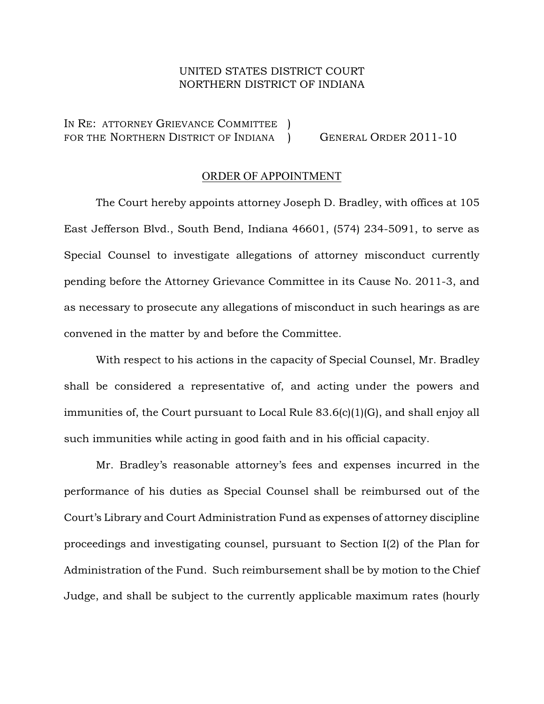## UNITED STATES DISTRICT COURT NORTHERN DISTRICT OF INDIANA

IN RE: ATTORNEY GRIEVANCE COMMITTEE ) FOR THE NORTHERN DISTRICT OF INDIANA ) GENERAL ORDER 2011-10

## ORDER OF APPOINTMENT

The Court hereby appoints attorney Joseph D. Bradley, with offices at 105 East Jefferson Blvd., South Bend, Indiana 46601, (574) 234-5091, to serve as Special Counsel to investigate allegations of attorney misconduct currently pending before the Attorney Grievance Committee in its Cause No. 2011-3, and as necessary to prosecute any allegations of misconduct in such hearings as are convened in the matter by and before the Committee.

With respect to his actions in the capacity of Special Counsel, Mr. Bradley shall be considered a representative of, and acting under the powers and immunities of, the Court pursuant to Local Rule 83.6(c)(1)(G), and shall enjoy all such immunities while acting in good faith and in his official capacity.

Mr. Bradley's reasonable attorney's fees and expenses incurred in the performance of his duties as Special Counsel shall be reimbursed out of the Court's Library and Court Administration Fund as expenses of attorney discipline proceedings and investigating counsel, pursuant to Section I(2) of the Plan for Administration of the Fund. Such reimbursement shall be by motion to the Chief Judge, and shall be subject to the currently applicable maximum rates (hourly